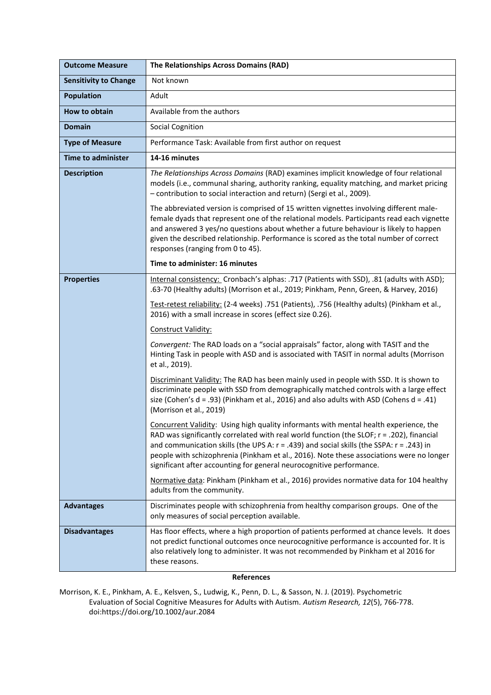| <b>Outcome Measure</b>       | The Relationships Across Domains (RAD)                                                                                                                                                                                                                                                                                                                                                                                                                   |
|------------------------------|----------------------------------------------------------------------------------------------------------------------------------------------------------------------------------------------------------------------------------------------------------------------------------------------------------------------------------------------------------------------------------------------------------------------------------------------------------|
| <b>Sensitivity to Change</b> | Not known                                                                                                                                                                                                                                                                                                                                                                                                                                                |
| <b>Population</b>            | Adult                                                                                                                                                                                                                                                                                                                                                                                                                                                    |
| How to obtain                | Available from the authors                                                                                                                                                                                                                                                                                                                                                                                                                               |
| <b>Domain</b>                | <b>Social Cognition</b>                                                                                                                                                                                                                                                                                                                                                                                                                                  |
| <b>Type of Measure</b>       | Performance Task: Available from first author on request                                                                                                                                                                                                                                                                                                                                                                                                 |
| <b>Time to administer</b>    | 14-16 minutes                                                                                                                                                                                                                                                                                                                                                                                                                                            |
| <b>Description</b>           | The Relationships Across Domains (RAD) examines implicit knowledge of four relational<br>models (i.e., communal sharing, authority ranking, equality matching, and market pricing<br>- contribution to social interaction and return) (Sergi et al., 2009).                                                                                                                                                                                              |
|                              | The abbreviated version is comprised of 15 written vignettes involving different male-<br>female dyads that represent one of the relational models. Participants read each vignette<br>and answered 3 yes/no questions about whether a future behaviour is likely to happen<br>given the described relationship. Performance is scored as the total number of correct<br>responses (ranging from 0 to 45).                                               |
|                              | Time to administer: 16 minutes                                                                                                                                                                                                                                                                                                                                                                                                                           |
| <b>Properties</b>            | Internal consistency: Cronbach's alphas: .717 (Patients with SSD), .81 (adults with ASD);<br>.63-70 (Healthy adults) (Morrison et al., 2019; Pinkham, Penn, Green, & Harvey, 2016)                                                                                                                                                                                                                                                                       |
|                              | Test-retest reliability: (2-4 weeks) .751 (Patients), .756 (Healthy adults) (Pinkham et al.,<br>2016) with a small increase in scores (effect size 0.26).                                                                                                                                                                                                                                                                                                |
|                              | Construct Validity:                                                                                                                                                                                                                                                                                                                                                                                                                                      |
|                              | Convergent: The RAD loads on a "social appraisals" factor, along with TASIT and the<br>Hinting Task in people with ASD and is associated with TASIT in normal adults (Morrison<br>et al., 2019).                                                                                                                                                                                                                                                         |
|                              | Discriminant Validity: The RAD has been mainly used in people with SSD. It is shown to<br>discriminate people with SSD from demographically matched controls with a large effect<br>size (Cohen's d = .93) (Pinkham et al., 2016) and also adults with ASD (Cohens d = .41)<br>(Morrison et al., 2019)                                                                                                                                                   |
|                              | Concurrent Validity: Using high quality informants with mental health experience, the<br>RAD was significantly correlated with real world function (the SLOF; r = .202), financial<br>and communication skills (the UPS A: $r = .439$ ) and social skills (the SSPA: $r = .243$ ) in<br>people with schizophrenia (Pinkham et al., 2016). Note these associations were no longer<br>significant after accounting for general neurocognitive performance. |
|                              | Normative data: Pinkham (Pinkham et al., 2016) provides normative data for 104 healthy<br>adults from the community.                                                                                                                                                                                                                                                                                                                                     |
| <b>Advantages</b>            | Discriminates people with schizophrenia from healthy comparison groups. One of the<br>only measures of social perception available.                                                                                                                                                                                                                                                                                                                      |
| <b>Disadvantages</b>         | Has floor effects, where a high proportion of patients performed at chance levels. It does<br>not predict functional outcomes once neurocognitive performance is accounted for. It is<br>also relatively long to administer. It was not recommended by Pinkham et al 2016 for<br>these reasons.                                                                                                                                                          |

**References**

Morrison, K. E., Pinkham, A. E., Kelsven, S., Ludwig, K., Penn, D. L., & Sasson, N. J. (2019). Psychometric Evaluation of Social Cognitive Measures for Adults with Autism. *Autism Research, 12*(5), 766-778. doi:https://doi.org/10.1002/aur.2084